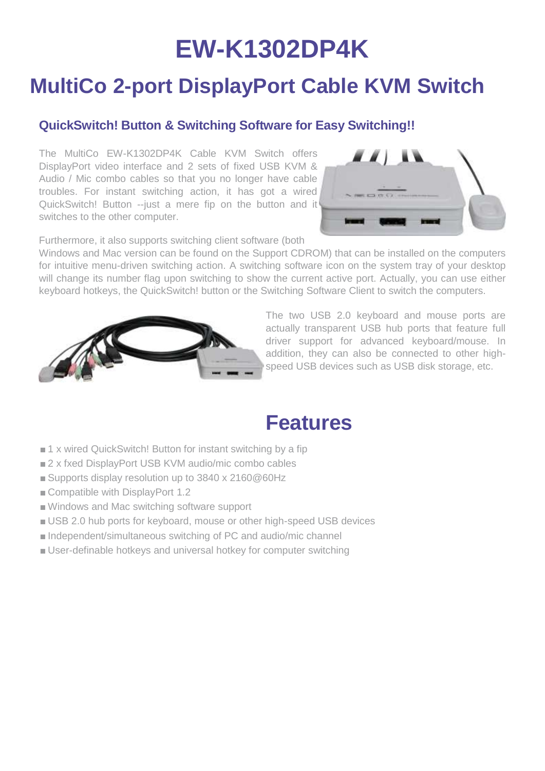# **EW-K1302DP4K**

### **MultiCo 2-port DisplayPort Cable KVM Switch**

#### **QuickSwitch! Button & Switching Software for Easy Switching!!**

The MultiCo EW-K1302DP4K Cable KVM Switch offers DisplayPort video interface and 2 sets of fixed USB KVM & Audio / Mic combo cables so that you no longer have cable troubles. For instant switching action, it has got a wired QuickSwitch! Button --just a mere fip on the button and it switches to the other computer.



Furthermore, it also supports switching client software (both

Windows and Mac version can be found on the Support CDROM) that can be installed on the computers for intuitive menu-driven switching action. A switching software icon on the system tray of your desktop will change its number flag upon switching to show the current active port. Actually, you can use either keyboard hotkeys, the QuickSwitch! button or the Switching Software Client to switch the computers.



The two USB 2.0 keyboard and mouse ports are actually transparent USB hub ports that feature full driver support for advanced keyboard/mouse. In addition, they can also be connected to other highspeed USB devices such as USB disk storage, etc.

### **Features**

- 1 x wired QuickSwitch! Button for instant switching by a fip
- 2 x fxed DisplayPort USB KVM audio/mic combo cables
- Supports display resolution up to 3840 x 2160@60Hz
- Compatible with DisplayPort 1.2
- Windows and Mac switching software support
- USB 2.0 hub ports for keyboard, mouse or other high-speed USB devices
- Independent/simultaneous switching of PC and audio/mic channel
- User-definable hotkeys and universal hotkey for computer switching